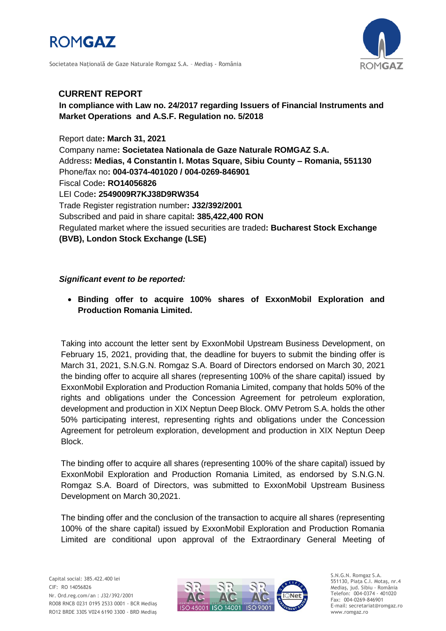

Societatea Naţională de Gaze Naturale Romgaz S.A. – Mediaş - România



## **CURRENT REPORT**

## **In compliance with Law no. 24/2017 regarding Issuers of Financial Instruments and Market Operations and A.S.F. Regulation no. 5/2018**

Report date**: March 31, 2021** Company name**: Societatea Nationala de Gaze Naturale ROMGAZ S.A.** Address**: Medias, 4 Constantin I. Motas Square, Sibiu County – Romania, 551130** Phone/fax no**: 004-0374-401020 / 004-0269-846901** Fiscal Code**: RO14056826** LEI Code**: 2549009R7KJ38D9RW354** Trade Register registration number**: J32/392/2001** Subscribed and paid in share capital**: 385,422,400 RON** Regulated market where the issued securities are traded**: Bucharest Stock Exchange (BVB), London Stock Exchange (LSE)**

## *Significant event to be reported:*

 **Binding offer to acquire 100% shares of ExxonMobil Exploration and Production Romania Limited.**

Taking into account the letter sent by ExxonMobil Upstream Business Development, on February 15, 2021, providing that, the deadline for buyers to submit the binding offer is March 31, 2021, S.N.G.N. Romgaz S.A. Board of Directors endorsed on March 30, 2021 the binding offer to acquire all shares (representing 100% of the share capital) issued by ExxonMobil Exploration and Production Romania Limited, company that holds 50% of the rights and obligations under the Concession Agreement for petroleum exploration, development and production in XIX Neptun Deep Block. OMV Petrom S.A. holds the other 50% participating interest, representing rights and obligations under the Concession Agreement for petroleum exploration, development and production in XIX Neptun Deep Block.

The binding offer to acquire all shares (representing 100% of the share capital) issued by ExxonMobil Exploration and Production Romania Limited, as endorsed by S.N.G.N. Romgaz S.A. Board of Directors, was submitted to ExxonMobil Upstream Business Development on March 30,2021.

The binding offer and the conclusion of the transaction to acquire all shares (representing 100% of the share capital) issued by ExxonMobil Exploration and Production Romania Limited are conditional upon approval of the Extraordinary General Meeting of



S.N.G.N. Romgaz S.A. 551130, Piața C.I. Motaş, nr.4 Mediaş, jud. Sibiu - România Telefon: 004-0374 - 401020 Fax: 004-0269-846901 E-mail: secretariat@romgaz.ro www.romgaz.ro